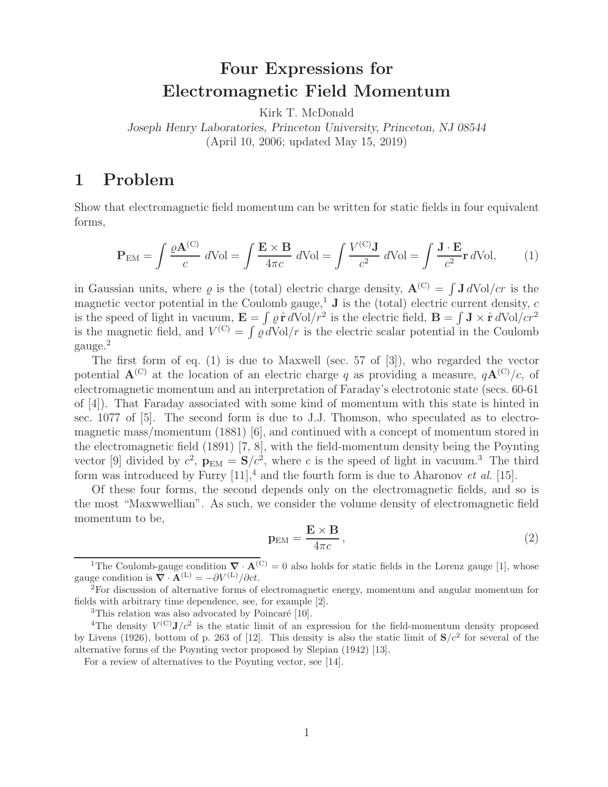## **Four Expressions for Electromagnetic Field Momentum**

Kirk T. McDonald

*Joseph Henry Laboratories, Princeton University, Princeton, NJ 08544* (April 10, 2006; updated May 15, 2019)

## **1 Problem**

Show that electromagnetic field momentum can be written for static fields in four equivalent forms,

$$
\mathbf{P}_{\text{EM}} = \int \frac{\varrho \mathbf{A}^{(\text{C})}}{c} \, d\text{Vol} = \int \frac{\mathbf{E} \times \mathbf{B}}{4\pi c} \, d\text{Vol} = \int \frac{V^{(\text{C})} \mathbf{J}}{c^2} \, d\text{Vol} = \int \frac{\mathbf{J} \cdot \mathbf{E}}{c^2} \mathbf{r} \, d\text{Vol}, \tag{1}
$$

in Gaussian units, where  $\varrho$  is the (total) electric charge density,  $\mathbf{A}^{(C)} = \int \mathbf{J} dVol/cr$  is the magnetic vector potential in the Coulomb gauge,<sup>1</sup> **J** is the (total) electric current density, c is the speed of light in vacuum,  $\mathbf{E} = \int \rho \, \hat{\mathbf{r}} \, d\text{Vol}/r^2$  is the electric field,  $\mathbf{B} = \int \mathbf{J} \times \hat{\mathbf{r}} \, d\text{Vol}/cr^2$ is the magnetic field, and  $V^{(C)} = \int \rho dVol/r$  is the electric scalar potential in the Coulomb gauge.<sup>2</sup>

The first form of eq. (1) is due to Maxwell (sec. 57 of [3]), who regarded the vector potential  $\mathbf{A}^{(C)}$  at the location of an electric charge q as providing a measure,  $q\mathbf{A}^{(C)}/c$ , of electromagnetic momentum and an interpretation of Faraday's electrotonic state (secs. 60-61 of [4]). That Faraday associated with some kind of momentum with this state is hinted in sec. 1077 of [5]. The second form is due to J.J. Thomson, who speculated as to electromagnetic mass/momentum (1881) [6], and continued with a concept of momentum stored in the electromagnetic field (1891) [7, 8], with the field-momentum density being the Poynting vector [9] divided by  $c^2$ ,  $\mathbf{p}_{EM} = \mathbf{S}/c^2$ , where c is the speed of light in vacuum.<sup>3</sup> The third form was introduced by Furry  $[11]$ ,<sup>4</sup> and the fourth form is due to Aharonov *et al.* [15].

Of these four forms, the second depends only on the electromagnetic fields, and so is the most "Maxwwellian". As such, we consider the volume density of electromagnetic field momentum to be,

$$
\mathbf{p}_{\rm EM} = \frac{\mathbf{E} \times \mathbf{B}}{4\pi c},\tag{2}
$$

<sup>&</sup>lt;sup>1</sup>The Coulomb-gauge condition  $\nabla \cdot \mathbf{A}^{(C)} = 0$  also holds for static fields in the Lorenz gauge [1], whose gauge condition is  $\nabla \cdot \mathbf{A}^{(L)} = -\partial V^{(L)}/\partial ct$ .

<sup>&</sup>lt;sup>2</sup> For discussion of alternative forms of electromagnetic energy, momentum and angular momentum for fields with arbitrary time dependence, see, for example [2].

 ${}^{3}$ This relation was also advocated by Poincaré [10].

<sup>&</sup>lt;sup>4</sup>The density  $V^{(C)}J/c^2$  is the static limit of an expression for the field-momentum density proposed by Livens (1926), bottom of p. 263 of [12]. This density is also the static limit of  $S/c^2$  for several of the alternative forms of the Poynting vector proposed by Slepian (1942) [13].

For a review of alternatives to the Poynting vector, see [14].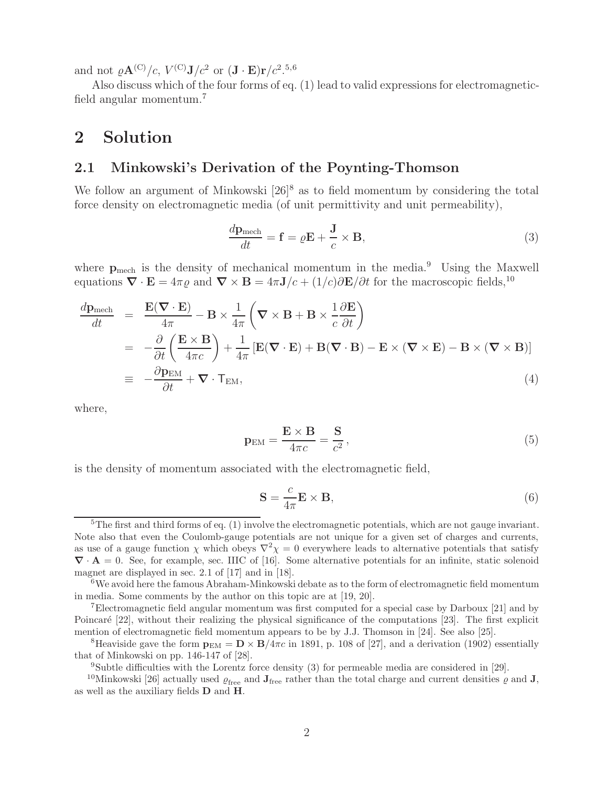and not  $\varrho \mathbf{A}^{(\text{C})}/c$ ,  $V^{(\text{C})}\mathbf{J}/c^2$  or  $(\mathbf{J} \cdot \mathbf{E})\mathbf{r}/c^2$ .<sup>5,6</sup>

Also discuss which of the four forms of eq. (1) lead to valid expressions for electromagneticfield angular momentum.<sup>7</sup>

## **2 Solution**

#### **2.1 Minkowski's Derivation of the Poynting-Thomson**

We follow an argument of Minkowski  $[26]^8$  as to field momentum by considering the total force density on electromagnetic media (of unit permittivity and unit permeability),

$$
\frac{d\mathbf{p}_{\text{mech}}}{dt} = \mathbf{f} = \varrho \mathbf{E} + \frac{\mathbf{J}}{c} \times \mathbf{B},\tag{3}
$$

where  $p_{\text{mech}}$  is the density of mechanical momentum in the media.<sup>9</sup> Using the Maxwell equations  $\nabla \cdot \mathbf{E} = 4\pi \varrho$  and  $\nabla \times \mathbf{B} = 4\pi \mathbf{J}/c + (1/c)\partial \mathbf{E}/\partial t$  for the macroscopic fields,<sup>10</sup>

$$
\frac{d\mathbf{p}_{\text{mech}}}{dt} = \frac{\mathbf{E}(\nabla \cdot \mathbf{E})}{4\pi} - \mathbf{B} \times \frac{1}{4\pi} \left( \nabla \times \mathbf{B} + \mathbf{B} \times \frac{1}{c} \frac{\partial \mathbf{E}}{\partial t} \right)
$$
\n
$$
= -\frac{\partial}{\partial t} \left( \frac{\mathbf{E} \times \mathbf{B}}{4\pi c} \right) + \frac{1}{4\pi} \left[ \mathbf{E}(\nabla \cdot \mathbf{E}) + \mathbf{B}(\nabla \cdot \mathbf{B}) - \mathbf{E} \times (\nabla \times \mathbf{E}) - \mathbf{B} \times (\nabla \times \mathbf{B}) \right]
$$
\n
$$
= -\frac{\partial \mathbf{p}_{\text{EM}}}{\partial t} + \nabla \cdot \mathbf{T}_{\text{EM}},
$$
\n(4)

where,

$$
\mathbf{p}_{\rm EM} = \frac{\mathbf{E} \times \mathbf{B}}{4\pi c} = \frac{\mathbf{S}}{c^2},\tag{5}
$$

is the density of momentum associated with the electromagnetic field,

$$
\mathbf{S} = \frac{c}{4\pi} \mathbf{E} \times \mathbf{B},\tag{6}
$$

 $5$ The first and third forms of eq. (1) involve the electromagnetic potentials, which are not gauge invariant. Note also that even the Coulomb-gauge potentials are not unique for a given set of charges and currents, as use of a gauge function  $\chi$  which obeys  $\nabla^2 \chi = 0$  everywhere leads to alternative potentials that satisfy *∇* · **A** = 0. See, for example, sec. IIIC of [16]. Some alternative potentials for an infinite, static solenoid magnet are displayed in sec. 2.1 of [17] and in [18].

 $6$ We avoid here the famous Abraham-Minkowski debate as to the form of electromagnetic field momentum in media. Some comments by the author on this topic are at [19, 20].

<sup>7</sup>Electromagnetic field angular momentum was first computed for a special case by Darboux [21] and by Poincaré [22], without their realizing the physical significance of the computations [23]. The first explicit mention of electromagnetic field momentum appears to be by J.J. Thomson in [24]. See also [25].

<sup>&</sup>lt;sup>8</sup>Heaviside gave the form  $\mathbf{p}_{EM} = \mathbf{D} \times \mathbf{B}/4\pi c$  in 1891, p. 108 of [27], and a derivation (1902) essentially that of Minkowski on pp. 146-147 of [28].

<sup>&</sup>lt;sup>9</sup>Subtle difficulties with the Lorentz force density  $(3)$  for permeable media are considered in [29].

<sup>&</sup>lt;sup>10</sup>Minkowski [26] actually used  $\varrho$ <sub>free</sub> and **J**<sub>free</sub> rather than the total charge and current densities  $\varrho$  and **J**, as well as the auxiliary fields **D** and **H**.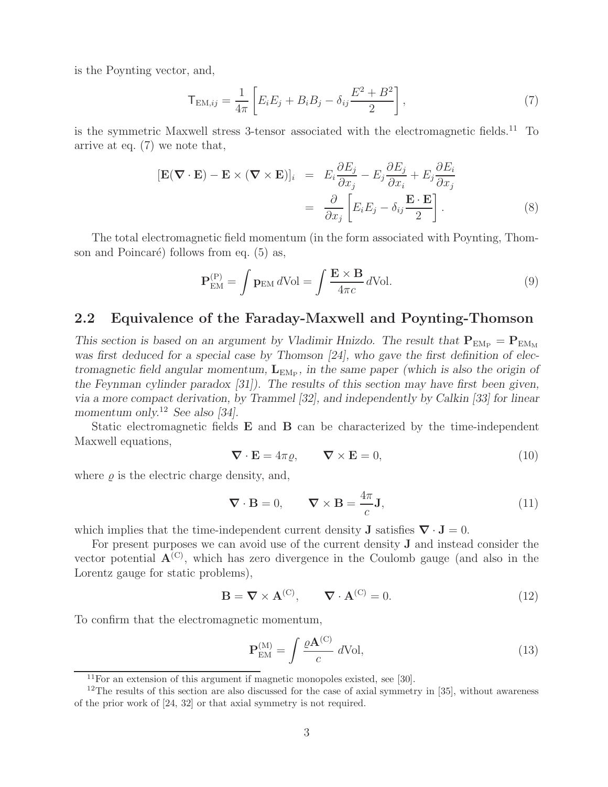is the Poynting vector, and,

$$
T_{EM,ij} = \frac{1}{4\pi} \left[ E_i E_j + B_i B_j - \delta_{ij} \frac{E^2 + B^2}{2} \right],
$$
 (7)

is the symmetric Maxwell stress 3-tensor associated with the electromagnetic fields.<sup>11</sup> To arrive at eq. (7) we note that,

$$
[\mathbf{E}(\nabla \cdot \mathbf{E}) - \mathbf{E} \times (\nabla \times \mathbf{E})]_i = E_i \frac{\partial E_j}{\partial x_j} - E_j \frac{\partial E_j}{\partial x_i} + E_j \frac{\partial E_i}{\partial x_j}
$$
  

$$
= \frac{\partial}{\partial x_j} \left[ E_i E_j - \delta_{ij} \frac{\mathbf{E} \cdot \mathbf{E}}{2} \right].
$$
 (8)

The total electromagnetic field momentum (in the form associated with Poynting, Thomson and Poincaré) follows from eq.  $(5)$  as,

$$
\mathbf{P}_{\text{EM}}^{(P)} = \int \mathbf{p}_{\text{EM}} d\text{Vol} = \int \frac{\mathbf{E} \times \mathbf{B}}{4\pi c} d\text{Vol}.
$$
 (9)

#### **2.2 Equivalence of the Faraday-Maxwell and Poynting-Thomson**

*This section is based on an argument by Vladimir Hnizdo. The result that*  $P_{EM_P} = P_{EM_M}$ *was first deduced for a special case by Thomson [24], who gave the first definition of electromagnetic field angular momentum,*  $L_{EM_P}$ *, in the same paper (which is also the origin of the Feynman cylinder paradox [31]). The results of this section may have first been given, via a more compact derivation, by Trammel [32], and independently by Calkin [33] for linear momentum only.*<sup>12</sup> *See also [34].*

Static electromagnetic fields **E** and **B** can be characterized by the time-independent Maxwell equations,

$$
\nabla \cdot \mathbf{E} = 4\pi \varrho, \qquad \nabla \times \mathbf{E} = 0,
$$
\n(10)

where  $\rho$  is the electric charge density, and,

$$
\nabla \cdot \mathbf{B} = 0, \qquad \nabla \times \mathbf{B} = \frac{4\pi}{c} \mathbf{J}, \tag{11}
$$

which implies that the time-independent current density **J** satisfies  $\nabla \cdot \mathbf{J} = 0$ .

For present purposes we can avoid use of the current density **J** and instead consider the vector potential  $A^{(C)}$ , which has zero divergence in the Coulomb gauge (and also in the Lorentz gauge for static problems),

$$
\mathbf{B} = \nabla \times \mathbf{A}^{(C)}, \qquad \nabla \cdot \mathbf{A}^{(C)} = 0.
$$
 (12)

To confirm that the electromagnetic momentum,

$$
\mathbf{P}_{\text{EM}}^{(\text{M})} = \int \frac{\varrho \mathbf{A}^{(\text{C})}}{c} \, d\text{Vol},\tag{13}
$$

 $11$ For an extension of this argument if magnetic monopoles existed, see [30].

 $12$ The results of this section are also discussed for the case of axial symmetry in [35], without awareness of the prior work of [24, 32] or that axial symmetry is not required.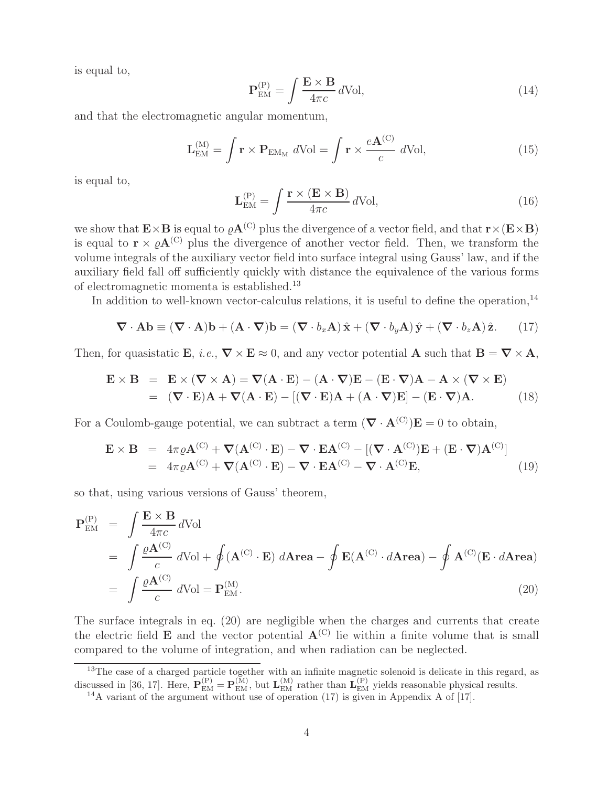is equal to,

$$
\mathbf{P}_{\text{EM}}^{(P)} = \int \frac{\mathbf{E} \times \mathbf{B}}{4\pi c} d\text{Vol},\tag{14}
$$

and that the electromagnetic angular momentum,

$$
\mathbf{L}_{\text{EM}}^{(\text{M})} = \int \mathbf{r} \times \mathbf{P}_{\text{EM}_{\text{M}}} d\text{Vol} = \int \mathbf{r} \times \frac{e\mathbf{A}^{(\text{C})}}{c} d\text{Vol},\tag{15}
$$

is equal to,

$$
\mathbf{L}_{\text{EM}}^{(\text{P})} = \int \frac{\mathbf{r} \times (\mathbf{E} \times \mathbf{B})}{4\pi c} d\text{Vol},\tag{16}
$$

we show that  $\mathbf{E} \times \mathbf{B}$  is equal to  $\varrho \mathbf{A}^{(C)}$  plus the divergence of a vector field, and that  $\mathbf{r} \times (\mathbf{E} \times \mathbf{B})$ is equal to  $\mathbf{r} \times \rho \mathbf{A}^{(C)}$  plus the divergence of another vector field. Then, we transform the volume integrals of the auxiliary vector field into surface integral using Gauss' law, and if the auxiliary field fall off sufficiently quickly with distance the equivalence of the various forms of electromagnetic momenta is established.<sup>13</sup>

In addition to well-known vector-calculus relations, it is useful to define the operation,  $^{14}$ 

$$
\nabla \cdot \mathbf{A} \mathbf{b} \equiv (\nabla \cdot \mathbf{A}) \mathbf{b} + (\mathbf{A} \cdot \nabla) \mathbf{b} = (\nabla \cdot b_x \mathbf{A}) \hat{\mathbf{x}} + (\nabla \cdot b_y \mathbf{A}) \hat{\mathbf{y}} + (\nabla \cdot b_z \mathbf{A}) \hat{\mathbf{z}}.
$$
 (17)

Then, for quasistatic **E**, *i.e.*,  $\nabla \times \mathbf{E} \approx 0$ , and any vector potential **A** such that  $\mathbf{B} = \nabla \times \mathbf{A}$ ,

$$
\mathbf{E} \times \mathbf{B} = \mathbf{E} \times (\mathbf{\nabla} \times \mathbf{A}) = \mathbf{\nabla} (\mathbf{A} \cdot \mathbf{E}) - (\mathbf{A} \cdot \mathbf{\nabla}) \mathbf{E} - (\mathbf{E} \cdot \mathbf{\nabla}) \mathbf{A} - \mathbf{A} \times (\mathbf{\nabla} \times \mathbf{E})
$$
  
= (\mathbf{\nabla} \cdot \mathbf{E}) \mathbf{A} + \mathbf{\nabla} (\mathbf{A} \cdot \mathbf{E}) - [(\mathbf{\nabla} \cdot \mathbf{E}) \mathbf{A} + (\mathbf{A} \cdot \mathbf{\nabla}) \mathbf{E}] - (\mathbf{E} \cdot \mathbf{\nabla}) \mathbf{A}. (18)

For a Coulomb-gauge potential, we can subtract a term  $(\nabla \cdot \mathbf{A}^{(C)})\mathbf{E} = 0$  to obtain,

$$
\mathbf{E} \times \mathbf{B} = 4\pi \varrho \mathbf{A}^{(C)} + \nabla (\mathbf{A}^{(C)} \cdot \mathbf{E}) - \nabla \cdot \mathbf{E} \mathbf{A}^{(C)} - [(\nabla \cdot \mathbf{A}^{(C)}) \mathbf{E} + (\mathbf{E} \cdot \nabla) \mathbf{A}^{(C)}] \n= 4\pi \varrho \mathbf{A}^{(C)} + \nabla (\mathbf{A}^{(C)} \cdot \mathbf{E}) - \nabla \cdot \mathbf{E} \mathbf{A}^{(C)} - \nabla \cdot \mathbf{A}^{(C)} \mathbf{E},
$$
\n(19)

so that, using various versions of Gauss' theorem,

$$
\mathbf{P}_{\text{EM}}^{(P)} = \int \frac{\mathbf{E} \times \mathbf{B}}{4\pi c} d\text{Vol}
$$
  
= 
$$
\int \frac{\varrho \mathbf{A}^{(C)}}{c} d\text{Vol} + \oint (\mathbf{A}^{(C)} \cdot \mathbf{E}) d\text{Area} - \oint \mathbf{E}(\mathbf{A}^{(C)} \cdot d\text{Area}) - \oint \mathbf{A}^{(C)}(\mathbf{E} \cdot d\text{Area})
$$
  
= 
$$
\int \frac{\varrho \mathbf{A}^{(C)}}{c} d\text{Vol} = \mathbf{P}_{\text{EM}}^{(M)}.
$$
 (20)

The surface integrals in eq. (20) are negligible when the charges and currents that create the electric field **E** and the vector potential  $A^{(C)}$  lie within a finite volume that is small compared to the volume of integration, and when radiation can be neglected.

<sup>&</sup>lt;sup>13</sup>The case of a charged particle together with an infinite magnetic solenoid is delicate in this regard, as discussed in [36, 17]. Here,  $\mathbf{P}_{EM}^{(P)} = \mathbf{P}_{EM}^{(M)}$ , but  $\mathbf{L}_{EM}^{(M)}$  rather than  $\mathbf{L}_{EM}^{(P)}$  yields reasonable physical results.

<sup>&</sup>lt;sup>14</sup>A variant of the argument without use of operation (17) is given in Appendix A of [17].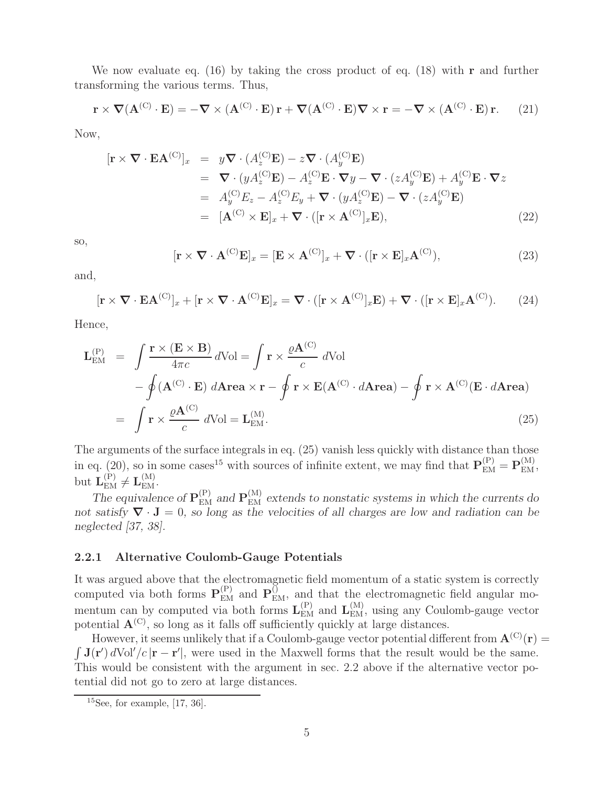We now evaluate eq. (16) by taking the cross product of eq. (18) with **r** and further transforming the various terms. Thus,

$$
\mathbf{r} \times \nabla (\mathbf{A}^{(\mathbf{C})} \cdot \mathbf{E}) = -\nabla \times (\mathbf{A}^{(\mathbf{C})} \cdot \mathbf{E}) \mathbf{r} + \nabla (\mathbf{A}^{(\mathbf{C})} \cdot \mathbf{E}) \nabla \times \mathbf{r} = -\nabla \times (\mathbf{A}^{(\mathbf{C})} \cdot \mathbf{E}) \mathbf{r}.
$$
 (21)

Now,

$$
[\mathbf{r} \times \nabla \cdot \mathbf{E} \mathbf{A}^{(C)}]_{x} = y \nabla \cdot (A_z^{(C)} \mathbf{E}) - z \nabla \cdot (A_y^{(C)} \mathbf{E})
$$
  
\n
$$
= \nabla \cdot (y A_z^{(C)} \mathbf{E}) - A_z^{(C)} \mathbf{E} \cdot \nabla y - \nabla \cdot (z A_y^{(C)} \mathbf{E}) + A_y^{(C)} \mathbf{E} \cdot \nabla z
$$
  
\n
$$
= A_y^{(C)} E_z - A_z^{(C)} E_y + \nabla \cdot (y A_z^{(C)} \mathbf{E}) - \nabla \cdot (z A_y^{(C)} \mathbf{E})
$$
  
\n
$$
= [\mathbf{A}^{(C)} \times \mathbf{E}]_{x} + \nabla \cdot ([\mathbf{r} \times \mathbf{A}^{(C)}]_{x} \mathbf{E}),
$$
\n(22)

so,

$$
[\mathbf{r} \times \nabla \cdot \mathbf{A}^{(C)} \mathbf{E}]_x = [\mathbf{E} \times \mathbf{A}^{(C)}]_x + \nabla \cdot ([\mathbf{r} \times \mathbf{E}]_x \mathbf{A}^{(C)}), \tag{23}
$$

and,

$$
[\mathbf{r} \times \nabla \cdot \mathbf{E} \mathbf{A}^{(C)}]_{x} + [\mathbf{r} \times \nabla \cdot \mathbf{A}^{(C)} \mathbf{E}]_{x} = \nabla \cdot ([\mathbf{r} \times \mathbf{A}^{(C)}]_{x} \mathbf{E}) + \nabla \cdot ([\mathbf{r} \times \mathbf{E}]_{x} \mathbf{A}^{(C)}). \tag{24}
$$

Hence,

$$
\mathbf{L}_{\text{EM}}^{(P)} = \int \frac{\mathbf{r} \times (\mathbf{E} \times \mathbf{B})}{4\pi c} d\text{Vol} = \int \mathbf{r} \times \frac{\varrho \mathbf{A}^{(C)}}{c} d\text{Vol} \n- \oint (\mathbf{A}^{(C)} \cdot \mathbf{E}) d\text{Area} \times \mathbf{r} - \oint \mathbf{r} \times \mathbf{E}(\mathbf{A}^{(C)} \cdot d\text{Area}) - \oint \mathbf{r} \times \mathbf{A}^{(C)}(\mathbf{E} \cdot d\text{Area}) \n= \int \mathbf{r} \times \frac{\varrho \mathbf{A}^{(C)}}{c} d\text{Vol} = \mathbf{L}_{\text{EM}}^{(M)}.
$$
\n(25)

The arguments of the surface integrals in eq. (25) vanish less quickly with distance than those in eq. (20), so in some cases<sup>15</sup> with sources of infinite extent, we may find that  $\mathbf{P}_{\text{EM}}^{(P)} = \mathbf{P}_{\text{EM}}^{(M)}$ , but  $\mathbf{L}_{\text{EM}}^{(P)} \neq \mathbf{L}_{\text{EM}}^{(M)}$ .

*The equivalence of*  $P_{EM}^{(P)}$  *and*  $P_{EM}^{(M)}$  *extends to nonstatic systems in which the currents do not satisfy ∇* · **J** = 0*, so long as the velocities of all charges are low and radiation can be neglected [37, 38].*

#### **2.2.1 Alternative Coulomb-Gauge Potentials**

It was argued above that the electromagnetic field momentum of a static system is correctly computed via both forms  $P_{EM}^{(P)}$  and  $P_{EM}^{(O)}$ , and that the electromagnetic field angular momentum can by computed via both forms  $\mathbf{L}_{\text{EM}}^{(P)}$  and  $\mathbf{L}_{\text{EM}}^{(M)}$ , using any Coulomb-gauge vector potential  $\mathbf{A}^{(C)}$ , so long as it falls off sufficiently quickly at large distances.

However, it seems unlikely that if a Coulomb-gauge vector potential different from  $\mathbf{A}^{(C)}(\mathbf{r}) =$  $\int$ **J**(**r**') dVol'/c|**r** − **r**'|, were used in the Maxwell forms that the result would be the same. This would be consistent with the argument in sec. 2.2 above if the alternative vector potential did not go to zero at large distances.

 $15$ See, for example, [17, 36].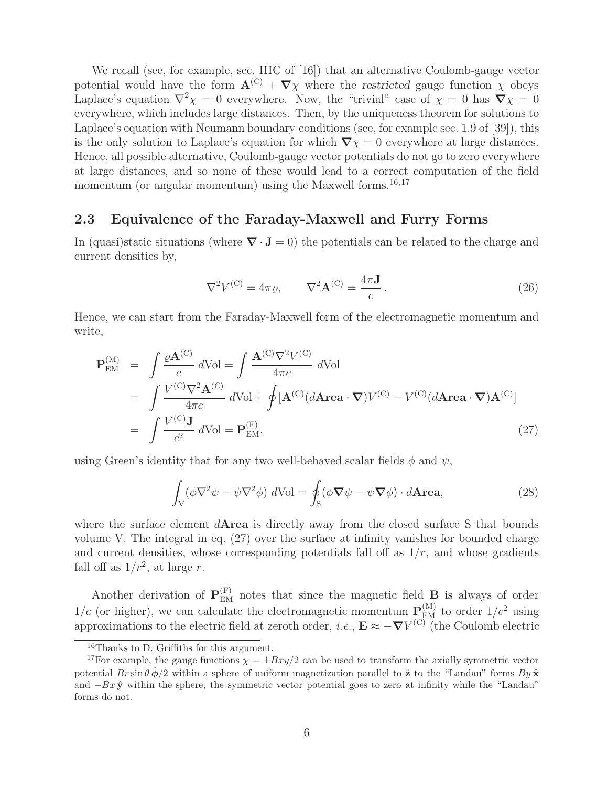We recall (see, for example, sec. IIIC of [16]) that an alternative Coulomb-gauge vector potential would have the form  $\mathbf{A}^{(C)} + \nabla \chi$  where the *restricted* gauge function  $\chi$  obeys Laplace's equation  $\nabla^2 \chi = 0$  everywhere. Now, the "trivial" case of  $\chi = 0$  has  $\nabla \chi = 0$ everywhere, which includes large distances. Then, by the uniqueness theorem for solutions to Laplace's equation with Neumann boundary conditions (see, for example sec. 1.9 of [39]), this is the only solution to Laplace's equation for which  $\nabla \chi = 0$  everywhere at large distances. Hence, all possible alternative, Coulomb-gauge vector potentials do not go to zero everywhere at large distances, and so none of these would lead to a correct computation of the field momentum (or angular momentum) using the Maxwell forms.<sup>16,17</sup>

#### **2.3 Equivalence of the Faraday-Maxwell and Furry Forms**

In (quasi)static situations (where  $\nabla \cdot \mathbf{J} = 0$ ) the potentials can be related to the charge and current densities by,

$$
\nabla^2 V^{(\mathcal{C})} = 4\pi \varrho, \qquad \nabla^2 \mathbf{A}^{(\mathcal{C})} = \frac{4\pi \mathbf{J}}{c} \,. \tag{26}
$$

Hence, we can start from the Faraday-Maxwell form of the electromagnetic momentum and write,

$$
\mathbf{P}_{\text{EM}}^{(M)} = \int \frac{\varrho \mathbf{A}^{(C)}}{c} dVol = \int \frac{\mathbf{A}^{(C)} \nabla^2 V^{(C)}}{4\pi c} dVol
$$
  
\n
$$
= \int \frac{V^{(C)} \nabla^2 \mathbf{A}^{(C)}}{4\pi c} dVol + \oint [\mathbf{A}^{(C)} (d \mathbf{Area} \cdot \nabla) V^{(C)} - V^{(C)} (d \mathbf{Area} \cdot \nabla) \mathbf{A}^{(C)}]
$$
  
\n
$$
= \int \frac{V^{(C)} \mathbf{J}}{c^2} dVol = \mathbf{P}_{\text{EM}}^{(F)},
$$
\n(27)

using Green's identity that for any two well-behaved scalar fields  $\phi$  and  $\psi$ ,

$$
\int_{V} (\phi \nabla^{2} \psi - \psi \nabla^{2} \phi) dVol = \oint_{S} (\phi \nabla \psi - \psi \nabla \phi) \cdot d \text{Area}, \qquad (28)
$$

where the surface element d**Area** is directly away from the closed surface S that bounds volume V. The integral in eq. (27) over the surface at infinity vanishes for bounded charge and current densities, whose corresponding potentials fall off as  $1/r$ , and whose gradients fall off as  $1/r^2$ , at large r.

Another derivation of  $P_{EM}^{(F)}$  notes that since the magnetic field **B** is always of order  $1/c$  (or higher), we can calculate the electromagnetic momentum  $P_{\text{EM}}^{(M)}$  to order  $1/c^2$  using approximations to the electric field at zeroth order, *i.e.*,  $\mathbf{E} \approx -\nabla V^{(C)}$  (the Coulomb electric

<sup>16</sup>Thanks to D. Griffiths for this argument.

<sup>&</sup>lt;sup>17</sup>For example, the gauge functions  $\chi = \pm Bxy/2$  can be used to transform the axially symmetric vector potential  $Br \sin \theta \hat{\phi}/2$  within a sphere of uniform magnetization parallel to  $\hat{\mathbf{z}}$  to the "Landau" forms  $By \hat{\mathbf{x}}$ and <sup>−</sup>Bx **<sup>y</sup>**<sup>ˆ</sup> within the sphere, the symmetric vector potential goes to zero at infinity while the "Landau" forms do not.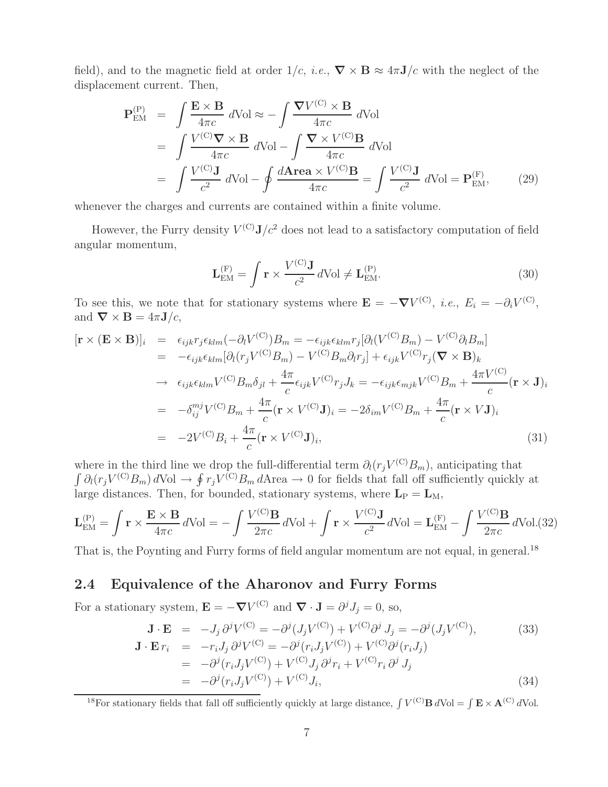field), and to the magnetic field at order  $1/c$ , *i.e.*,  $\nabla \times \mathbf{B} \approx 4\pi \mathbf{J}/c$  with the neglect of the displacement current. Then,

$$
\mathbf{P}_{\text{EM}}^{(P)} = \int \frac{\mathbf{E} \times \mathbf{B}}{4\pi c} d\text{Vol} \approx -\int \frac{\nabla V^{(C)} \times \mathbf{B}}{4\pi c} d\text{Vol} \n= \int \frac{V^{(C)} \nabla \times \mathbf{B}}{4\pi c} d\text{Vol} - \int \frac{\nabla \times V^{(C)} \mathbf{B}}{4\pi c} d\text{Vol} \n= \int \frac{V^{(C)} \mathbf{J}}{c^2} d\text{Vol} - \oint \frac{d\text{Area} \times V^{(C)} \mathbf{B}}{4\pi c} = \int \frac{V^{(C)} \mathbf{J}}{c^2} d\text{Vol} = \mathbf{P}_{\text{EM}}^{(F)},
$$
\n(29)

whenever the charges and currents are contained within a finite volume.

However, the Furry density  $V^{(C)}\mathbf{J}/c^2$  does not lead to a satisfactory computation of field angular momentum,

$$
\mathbf{L}_{\text{EM}}^{(\text{F})} = \int \mathbf{r} \times \frac{V^{(\text{C})}\mathbf{J}}{c^2} d\text{Vol} \neq \mathbf{L}_{\text{EM}}^{(\text{P})}.
$$
 (30)

To see this, we note that for stationary systems where  $\mathbf{E} = -\boldsymbol{\nabla}V^{(C)}$ , *i.e.*,  $E_i = -\partial_i V^{(C)}$ , and  $\nabla \times \mathbf{B} = 4\pi \mathbf{J}/c$ ,

$$
[\mathbf{r} \times (\mathbf{E} \times \mathbf{B})]_i = \epsilon_{ijk} r_j \epsilon_{klm} (-\partial_l V^{(C)}) B_m = -\epsilon_{ijk} \epsilon_{klm} r_j [\partial_l (V^{(C)} B_m) - V^{(C)} \partial_l B_m]
$$
  
\n
$$
= -\epsilon_{ijk} \epsilon_{klm} [\partial_l (r_j V^{(C)} B_m) - V^{(C)} B_m \partial_l r_j] + \epsilon_{ijk} V^{(C)} r_j (\nabla \times \mathbf{B})_k
$$
  
\n
$$
\rightarrow \epsilon_{ijk} \epsilon_{klm} V^{(C)} B_m \delta_{jl} + \frac{4\pi}{c} \epsilon_{ijk} V^{(C)} r_j J_k = -\epsilon_{ijk} \epsilon_{mjk} V^{(C)} B_m + \frac{4\pi}{c} (\mathbf{r} \times \mathbf{J})_i
$$
  
\n
$$
= -\delta_{ij}^{mj} V^{(C)} B_m + \frac{4\pi}{c} (\mathbf{r} \times V^{(C)} \mathbf{J})_i = -2\delta_{im} V^{(C)} B_m + \frac{4\pi}{c} (\mathbf{r} \times V \mathbf{J})_i
$$
  
\n
$$
= -2V^{(C)} B_i + \frac{4\pi}{c} (\mathbf{r} \times V^{(C)} \mathbf{J})_i,
$$
\n(31)

where in the third line we drop the full-differential term  $\partial_l(r_jV^{(C)}B_m)$ , anticipating that  $\int \partial_l(r_iV^{(C)}B_m) d\text{Vol} \to \oint r_jV^{(C)}B_m d\text{Area} \to 0$  for fields that fall off sufficiently quickly at large distances. Then, for bounded, stationary systems, where  $L_P = L_M$ ,

$$
\mathbf{L}_{\text{EM}}^{(P)} = \int \mathbf{r} \times \frac{\mathbf{E} \times \mathbf{B}}{4\pi c} d\text{Vol} = -\int \frac{V^{(C)}\mathbf{B}}{2\pi c} d\text{Vol} + \int \mathbf{r} \times \frac{V^{(C)}\mathbf{J}}{c^2} d\text{Vol} = \mathbf{L}_{\text{EM}}^{(F)} - \int \frac{V^{(C)}\mathbf{B}}{2\pi c} d\text{Vol}. (32)
$$

That is, the Poynting and Furry forms of field angular momentum are not equal, in general.<sup>18</sup>

#### **2.4 Equivalence of the Aharonov and Furry Forms**

For a stationary system,  $\mathbf{E} = -\nabla V^{(C)}$  and  $\nabla \cdot \mathbf{J} = \partial^j J_j = 0$ , so,

$$
\mathbf{J} \cdot \mathbf{E} = -J_j \partial^j V^{(C)} = -\partial^j (J_j V^{(C)}) + V^{(C)} \partial^j J_j = -\partial^j (J_j V^{(C)}),
$$
(33)  
\n
$$
\mathbf{J} \cdot \mathbf{E} r_i = -r_i J_j \partial^j V^{(C)} = -\partial^j (r_i J_j V^{(C)}) + V^{(C)} \partial^j (r_i J_j)
$$
  
\n
$$
= -\partial^j (r_i J_j V^{(C)}) + V^{(C)} J_j \partial^j r_i + V^{(C)} r_i \partial^j J_j
$$
  
\n
$$
= -\partial^j (r_i J_j V^{(C)}) + V^{(C)} J_i,
$$
(34)

<sup>18</sup>For stationary fields that fall off sufficiently quickly at large distance,  $\int V^{(C)} \mathbf{B} dVol = \int \mathbf{E} \times \mathbf{A}^{(C)} dVol$ .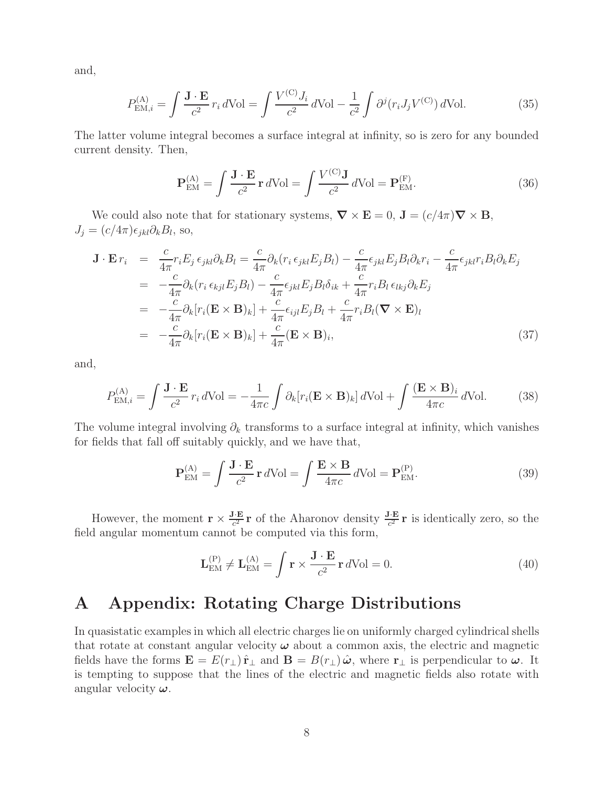and,

$$
P_{\text{EM},i}^{(\text{A})} = \int \frac{\mathbf{J} \cdot \mathbf{E}}{c^2} r_i d\text{Vol} = \int \frac{V^{(\text{C})} J_i}{c^2} d\text{Vol} - \frac{1}{c^2} \int \partial^j (r_i J_j V^{(\text{C})}) d\text{Vol}.
$$
 (35)

The latter volume integral becomes a surface integral at infinity, so is zero for any bounded current density. Then,

$$
\mathbf{P}_{\text{EM}}^{(A)} = \int \frac{\mathbf{J} \cdot \mathbf{E}}{c^2} \mathbf{r} \, d\text{Vol} = \int \frac{V^{(C)} \mathbf{J}}{c^2} \, d\text{Vol} = \mathbf{P}_{\text{EM}}^{(F)}.\tag{36}
$$

We could also note that for stationary systems,  $\nabla \times \mathbf{E} = 0$ ,  $\mathbf{J} = (c/4\pi)\nabla \times \mathbf{B}$ ,  $J_j = (c/4\pi)\epsilon_{jkl}\partial_kB_l$ , so,

$$
\mathbf{J} \cdot \mathbf{E} r_i = \frac{c}{4\pi} r_i E_j \, \epsilon_{jkl} \partial_k B_l = \frac{c}{4\pi} \partial_k (r_i \, \epsilon_{jkl} E_j B_l) - \frac{c}{4\pi} \epsilon_{jkl} E_j B_l \partial_k r_i - \frac{c}{4\pi} \epsilon_{jkl} r_i B_l \partial_k E_j
$$
\n
$$
= -\frac{c}{4\pi} \partial_k (r_i \, \epsilon_{kjl} E_j B_l) - \frac{c}{4\pi} \epsilon_{jkl} E_j B_l \delta_{ik} + \frac{c}{4\pi} r_i B_l \, \epsilon_{lkj} \partial_k E_j
$$
\n
$$
= -\frac{c}{4\pi} \partial_k [r_i (\mathbf{E} \times \mathbf{B})_k] + \frac{c}{4\pi} \epsilon_{ijl} E_j B_l + \frac{c}{4\pi} r_i B_l (\mathbf{\nabla} \times \mathbf{E})_l
$$
\n
$$
= -\frac{c}{4\pi} \partial_k [r_i (\mathbf{E} \times \mathbf{B})_k] + \frac{c}{4\pi} (\mathbf{E} \times \mathbf{B})_i, \tag{37}
$$

and,

$$
P_{\text{EM},i}^{(\text{A})} = \int \frac{\mathbf{J} \cdot \mathbf{E}}{c^2} r_i d\text{Vol} = -\frac{1}{4\pi c} \int \partial_k [r_i (\mathbf{E} \times \mathbf{B})_k] d\text{Vol} + \int \frac{(\mathbf{E} \times \mathbf{B})_i}{4\pi c} d\text{Vol}.
$$
 (38)

The volume integral involving  $\partial_k$  transforms to a surface integral at infinity, which vanishes for fields that fall off suitably quickly, and we have that,

$$
\mathbf{P}_{\text{EM}}^{(A)} = \int \frac{\mathbf{J} \cdot \mathbf{E}}{c^2} \mathbf{r} \, d\text{Vol} = \int \frac{\mathbf{E} \times \mathbf{B}}{4\pi c} \, d\text{Vol} = \mathbf{P}_{\text{EM}}^{(P)}.\tag{39}
$$

However, the moment  $\mathbf{r} \times \frac{\mathbf{J} \cdot \mathbf{E}}{c^2} \mathbf{r}$  of the Aharonov density  $\frac{\mathbf{J} \cdot \mathbf{E}}{c^2} \mathbf{r}$  is identically zero, so the field angular momentum cannot be computed via this form,

$$
\mathbf{L}_{\text{EM}}^{(P)} \neq \mathbf{L}_{\text{EM}}^{(A)} = \int \mathbf{r} \times \frac{\mathbf{J} \cdot \mathbf{E}}{c^2} \mathbf{r} \, d\text{Vol} = 0. \tag{40}
$$

## **A Appendix: Rotating Charge Distributions**

In quasistatic examples in which all electric charges lie on uniformly charged cylindrical shells that rotate at constant angular velocity *ω* about a common axis, the electric and magnetic fields have the forms  $\mathbf{E} = E(r_{\perp}) \hat{\mathbf{r}}_{\perp}$  and  $\mathbf{B} = B(r_{\perp}) \hat{\boldsymbol{\omega}}$ , where  $\mathbf{r}_{\perp}$  is perpendicular to  $\boldsymbol{\omega}$ . It is tempting to suppose that the lines of the electric and magnetic fields also rotate with angular velocity *ω*.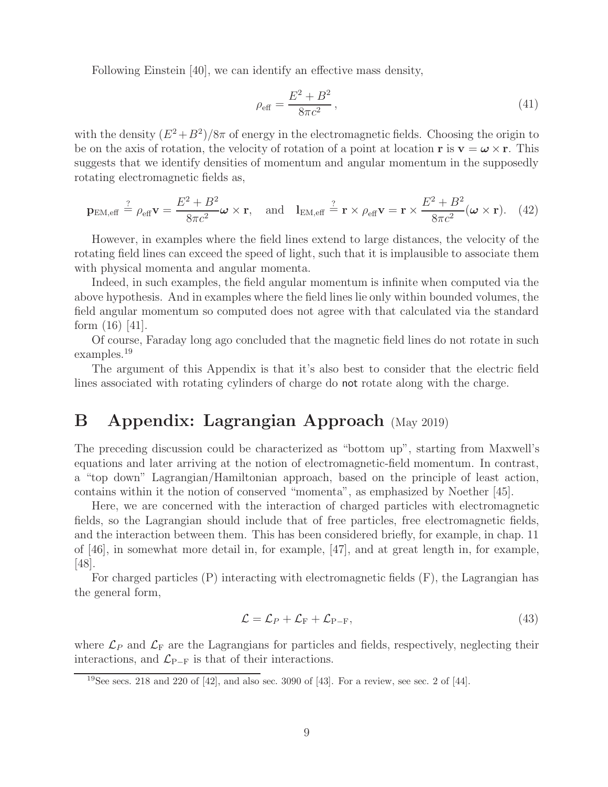Following Einstein [40], we can identify an effective mass density,

$$
\rho_{\text{eff}} = \frac{E^2 + B^2}{8\pi c^2},\tag{41}
$$

with the density  $(E^2+B^2)/8\pi$  of energy in the electromagnetic fields. Choosing the origin to be on the axis of rotation, the velocity of rotation of a point at location **r** is  $\mathbf{v} = \boldsymbol{\omega} \times \mathbf{r}$ . This suggests that we identify densities of momentum and angular momentum in the supposedly rotating electromagnetic fields as,

$$
\mathbf{p}_{\text{EM,eff}} \stackrel{?}{=} \rho_{\text{eff}} \mathbf{v} = \frac{E^2 + B^2}{8\pi c^2} \boldsymbol{\omega} \times \mathbf{r}, \text{ and } \mathbf{l}_{\text{EM,eff}} \stackrel{?}{=} \mathbf{r} \times \rho_{\text{eff}} \mathbf{v} = \mathbf{r} \times \frac{E^2 + B^2}{8\pi c^2} (\boldsymbol{\omega} \times \mathbf{r}). \tag{42}
$$

However, in examples where the field lines extend to large distances, the velocity of the rotating field lines can exceed the speed of light, such that it is implausible to associate them with physical momenta and angular momenta.

Indeed, in such examples, the field angular momentum is infinite when computed via the above hypothesis. And in examples where the field lines lie only within bounded volumes, the field angular momentum so computed does not agree with that calculated via the standard form  $(16)$   $|41|$ .

Of course, Faraday long ago concluded that the magnetic field lines do not rotate in such examples.<sup>19</sup>

The argument of this Appendix is that it's also best to consider that the electric field lines associated with rotating cylinders of charge do not rotate along with the charge.

## **B Appendix: Lagrangian Approach** (May 2019)

The preceding discussion could be characterized as "bottom up", starting from Maxwell's equations and later arriving at the notion of electromagnetic-field momentum. In contrast, a "top down" Lagrangian/Hamiltonian approach, based on the principle of least action, contains within it the notion of conserved "momenta", as emphasized by Noether [45].

Here, we are concerned with the interaction of charged particles with electromagnetic fields, so the Lagrangian should include that of free particles, free electromagnetic fields, and the interaction between them. This has been considered briefly, for example, in chap. 11 of [46], in somewhat more detail in, for example, [47], and at great length in, for example, [48].

For charged particles (P) interacting with electromagnetic fields (F), the Lagrangian has the general form,

$$
\mathcal{L} = \mathcal{L}_P + \mathcal{L}_{\mathrm{F}} + \mathcal{L}_{\mathrm{P-F}},\tag{43}
$$

where  $\mathcal{L}_P$  and  $\mathcal{L}_F$  are the Lagrangians for particles and fields, respectively, neglecting their interactions, and  $\mathcal{L}_{P-F}$  is that of their interactions.

<sup>&</sup>lt;sup>19</sup>See secs. 218 and 220 of  $[42]$ , and also sec. 3090 of  $[43]$ . For a review, see sec. 2 of  $[44]$ .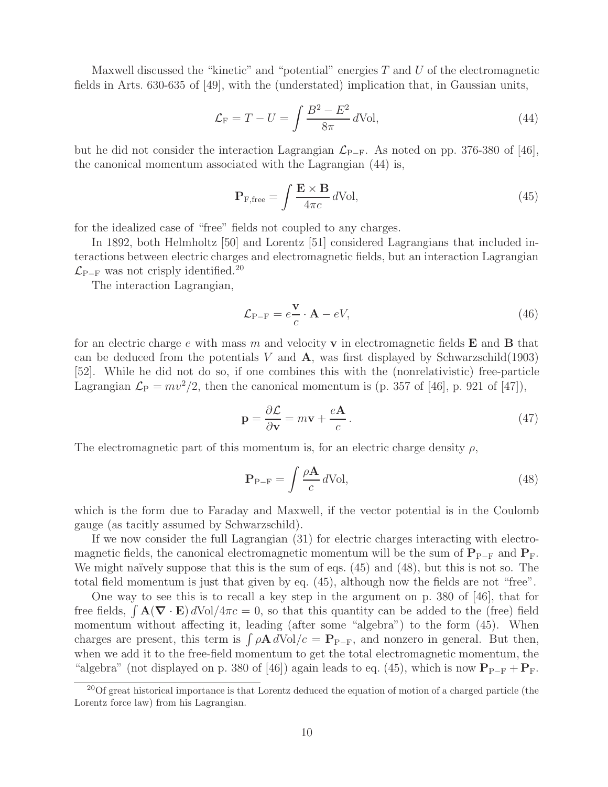Maxwell discussed the "kinetic" and "potential" energies  $T$  and  $U$  of the electromagnetic fields in Arts. 630-635 of [49], with the (understated) implication that, in Gaussian units,

$$
\mathcal{L}_{\mathcal{F}} = T - U = \int \frac{B^2 - E^2}{8\pi} d\text{Vol},\tag{44}
$$

but he did not consider the interaction Lagrangian  $\mathcal{L}_{P-F}$ . As noted on pp. 376-380 of [46], the canonical momentum associated with the Lagrangian (44) is,

$$
\mathbf{P}_{\rm F, free} = \int \frac{\mathbf{E} \times \mathbf{B}}{4\pi c} \, d\text{Vol},\tag{45}
$$

for the idealized case of "free" fields not coupled to any charges.

In 1892, both Helmholtz [50] and Lorentz [51] considered Lagrangians that included interactions between electric charges and electromagnetic fields, but an interaction Lagrangian  $\mathcal{L}_{\text{P-F}}$  was not crisply identified.<sup>20</sup>

The interaction Lagrangian,

$$
\mathcal{L}_{P-F} = e \frac{\mathbf{v}}{c} \cdot \mathbf{A} - eV,\tag{46}
$$

for an electric charge e with mass m and velocity **v** in electromagnetic fields **E** and **B** that can be deduced from the potentials  $V$  and  $\bf{A}$ , was first displayed by Schwarzschild(1903) [52]. While he did not do so, if one combines this with the (nonrelativistic) free-particle Lagrangian  $\mathcal{L}_P = mv^2/2$ , then the canonical momentum is (p. 357 of [46], p. 921 of [47]),

$$
\mathbf{p} = \frac{\partial \mathcal{L}}{\partial \mathbf{v}} = m\mathbf{v} + \frac{e\mathbf{A}}{c}.
$$
 (47)

The electromagnetic part of this momentum is, for an electric charge density  $\rho$ ,

$$
\mathbf{P}_{\mathrm{P-F}} = \int \frac{\rho \mathbf{A}}{c} d\mathrm{Vol},\tag{48}
$$

which is the form due to Faraday and Maxwell, if the vector potential is in the Coulomb gauge (as tacitly assumed by Schwarzschild).

If we now consider the full Lagrangian (31) for electric charges interacting with electromagnetic fields, the canonical electromagnetic momentum will be the sum of  $P_{P-F}$  and  $P_F$ . We might naïvely suppose that this is the sum of eqs.  $(45)$  and  $(48)$ , but this is not so. The total field momentum is just that given by eq. (45), although now the fields are not "free".

One way to see this is to recall a key step in the argument on p. 380 of [46], that for free fields,  $\int \mathbf{A}(\nabla \cdot \mathbf{E}) dVol/4\pi c = 0$ , so that this quantity can be added to the (free) field momentum without affecting it, leading (after some "algebra") to the form (45). When charges are present, this term is  $\rho \mathbf{A} dVol/c = \mathbf{P}_{P-F}$ , and nonzero in general. But then, when we add it to the free-field momentum to get the total electromagnetic momentum, the "algebra" (not displayed on p. 380 of [46]) again leads to eq. (45), which is now  $P_{P-F} + P_F$ .

<sup>&</sup>lt;sup>20</sup>Of great historical importance is that Lorentz deduced the equation of motion of a charged particle (the Lorentz force law) from his Lagrangian.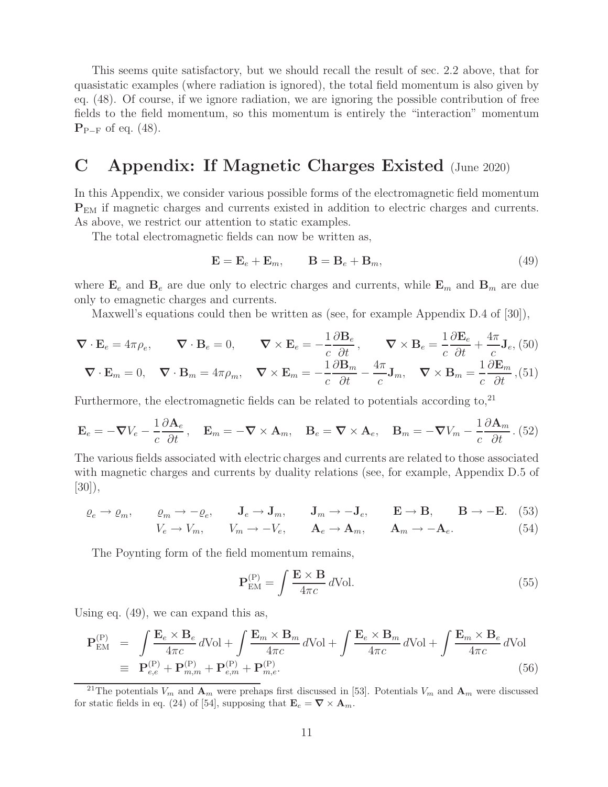This seems quite satisfactory, but we should recall the result of sec. 2.2 above, that for quasistatic examples (where radiation is ignored), the total field momentum is also given by eq. (48). Of course, if we ignore radiation, we are ignoring the possible contribution of free fields to the field momentum, so this momentum is entirely the "interaction" momentum **P**<sup>P</sup>−<sup>F</sup> of eq. (48).

## **C Appendix: If Magnetic Charges Existed** (June 2020)

In this Appendix, we consider various possible forms of the electromagnetic field momentum **P**EM if magnetic charges and currents existed in addition to electric charges and currents. As above, we restrict our attention to static examples.

The total electromagnetic fields can now be written as,

$$
\mathbf{E} = \mathbf{E}_e + \mathbf{E}_m, \qquad \mathbf{B} = \mathbf{B}_e + \mathbf{B}_m,\tag{49}
$$

where  $\mathbf{E}_e$  and  $\mathbf{B}_e$  are due only to electric charges and currents, while  $\mathbf{E}_m$  and  $\mathbf{B}_m$  are due only to emagnetic charges and currents.

Maxwell's equations could then be written as (see, for example Appendix D.4 of [30]),

$$
\nabla \cdot \mathbf{E}_e = 4\pi \rho_e, \qquad \nabla \cdot \mathbf{B}_e = 0, \qquad \nabla \times \mathbf{E}_e = -\frac{1}{c} \frac{\partial \mathbf{B}_e}{\partial t}, \qquad \nabla \times \mathbf{B}_e = \frac{1}{c} \frac{\partial \mathbf{E}_e}{\partial t} + \frac{4\pi}{c} \mathbf{J}_e, (50)
$$
  

$$
\nabla \cdot \mathbf{E}_m = 0, \quad \nabla \cdot \mathbf{B}_m = 4\pi \rho_m, \quad \nabla \times \mathbf{E}_m = -\frac{1}{c} \frac{\partial \mathbf{B}_m}{\partial t} - \frac{4\pi}{c} \mathbf{J}_m, \quad \nabla \times \mathbf{B}_m = \frac{1}{c} \frac{\partial \mathbf{E}_m}{\partial t}, (51)
$$

Furthermore, the electromagnetic fields can be related to potentials according to, $^{21}$ 

$$
\mathbf{E}_e = -\boldsymbol{\nabla}V_e - \frac{1}{c}\frac{\partial \mathbf{A}_e}{\partial t}, \quad \mathbf{E}_m = -\boldsymbol{\nabla} \times \mathbf{A}_m, \quad \mathbf{B}_e = \boldsymbol{\nabla} \times \mathbf{A}_e, \quad \mathbf{B}_m = -\boldsymbol{\nabla}V_m - \frac{1}{c}\frac{\partial \mathbf{A}_m}{\partial t}. (52)
$$

The various fields associated with electric charges and currents are related to those associated with magnetic charges and currents by duality relations (see, for example, Appendix D.5 of [30]),

$$
\varrho_e \to \varrho_m, \qquad \varrho_m \to -\varrho_e, \qquad \mathbf{J}_e \to \mathbf{J}_m, \qquad \mathbf{J}_m \to -\mathbf{J}_e, \qquad \mathbf{E} \to \mathbf{B}, \qquad \mathbf{B} \to -\mathbf{E}. \tag{53}
$$

$$
V_e \to V_m, \qquad V_m \to -V_e, \qquad \mathbf{A}_e \to \mathbf{A}_m, \qquad \mathbf{A}_m \to -\mathbf{A}_e. \tag{54}
$$

The Poynting form of the field momentum remains,

$$
\mathbf{P}_{\text{EM}}^{(P)} = \int \frac{\mathbf{E} \times \mathbf{B}}{4\pi c} d\text{Vol}.
$$
 (55)

Using eq. (49), we can expand this as,

$$
\mathbf{P}_{\text{EM}}^{(P)} = \int \frac{\mathbf{E}_e \times \mathbf{B}_e}{4\pi c} d\text{Vol} + \int \frac{\mathbf{E}_m \times \mathbf{B}_m}{4\pi c} d\text{Vol} + \int \frac{\mathbf{E}_e \times \mathbf{B}_m}{4\pi c} d\text{Vol} + \int \frac{\mathbf{E}_m \times \mathbf{B}_e}{4\pi c} d\text{Vol}
$$
  
\n
$$
\equiv \mathbf{P}_{e,e}^{(P)} + \mathbf{P}_{m,m}^{(P)} + \mathbf{P}_{e,m}^{(P)} + \mathbf{P}_{m,e}^{(P)}.
$$
\n(56)

<sup>&</sup>lt;sup>21</sup>The potentials  $V_m$  and  $\mathbf{A}_m$  were prehaps first discussed in [53]. Potentials  $V_m$  and  $\mathbf{A}_m$  were discussed for static fields in eq. (24) of [54], supposing that  $\mathbf{E}_e = \nabla \times \mathbf{A}_m$ .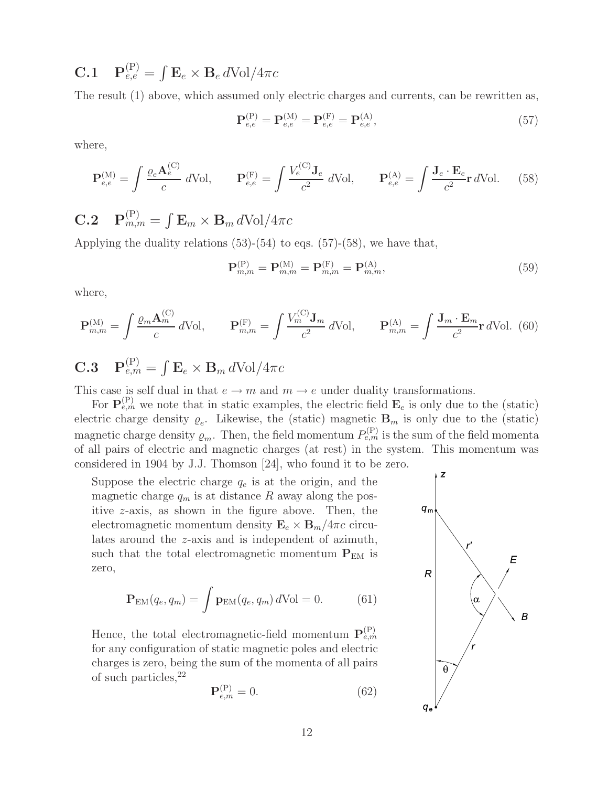**C.1**  $\mathbf{P}_{e,e}^{(\text{P})} = \int \mathbf{E}_e \times \mathbf{B}_e d\text{Vol}/4\pi c$ 

The result (1) above, which assumed only electric charges and currents, can be rewritten as,

$$
\mathbf{P}_{e,e}^{(P)} = \mathbf{P}_{e,e}^{(M)} = \mathbf{P}_{e,e}^{(F)} = \mathbf{P}_{e,e}^{(A)},
$$
\n(57)

where,

$$
\mathbf{P}_{e,e}^{(\mathrm{M})} = \int \frac{\varrho_e \mathbf{A}_e^{(\mathrm{C})}}{c} d\mathrm{Vol}, \qquad \mathbf{P}_{e,e}^{(\mathrm{F})} = \int \frac{V_e^{(\mathrm{C})} \mathbf{J}_e}{c^2} d\mathrm{Vol}, \qquad \mathbf{P}_{e,e}^{(\mathrm{A})} = \int \frac{\mathbf{J}_e \cdot \mathbf{E}_e}{c^2} \mathbf{r} d\mathrm{Vol}. \tag{58}
$$

**C.2**  $\mathbf{P}_{m,m}^{(P)} = \int \mathbf{E}_m \times \mathbf{B}_m d\text{Vol}/4\pi c$ 

Applying the duality relations  $(53)-(54)$  to eqs.  $(57)-(58)$ , we have that,

$$
\mathbf{P}_{m,m}^{(P)} = \mathbf{P}_{m,m}^{(M)} = \mathbf{P}_{m,m}^{(F)} = \mathbf{P}_{m,m}^{(A)},
$$
\n(59)

where,

$$
\mathbf{P}_{m,m}^{(\mathrm{M})} = \int \frac{\varrho_m \mathbf{A}_m^{(\mathrm{C})}}{c} d\mathrm{Vol}, \qquad \mathbf{P}_{m,m}^{(\mathrm{F})} = \int \frac{V_m^{(\mathrm{C})} \mathbf{J}_m}{c^2} d\mathrm{Vol}, \qquad \mathbf{P}_{m,m}^{(\mathrm{A})} = \int \frac{\mathbf{J}_m \cdot \mathbf{E}_m}{c^2} \mathbf{r} d\mathrm{Vol}. \tag{60}
$$

# **C.3**  $\mathbf{P}_{e,m}^{(P)} = \int \mathbf{E}_e \times \mathbf{B}_m d\text{Vol}/4\pi c$

This case is self dual in that  $e \to m$  and  $m \to e$  under duality transformations.

For  $\mathbf{P}_{e,m}^{(P)}$  we note that in static examples, the electric field  $\mathbf{E}_e$  is only due to the (static) electric charge density  $\varrho_e$ . Likewise, the (static) magnetic  $\mathbf{B}_m$  is only due to the (static) magnetic charge density  $\varrho_m$ . Then, the field momentum  $P_{e,m}^{(P)}$  is the sum of the field momenta of all pairs of electric and magnetic charges (at rest) in the system. This momentum was considered in 1904 by J.J. Thomson [24], who found it to be zero.

Suppose the electric charge  $q_e$  is at the origin, and the magnetic charge  $q_m$  is at distance R away along the positive z-axis, as shown in the figure above. Then, the electromagnetic momentum density  $\mathbf{E}_e \times \mathbf{B}_m / 4\pi c$  circulates around the z-axis and is independent of azimuth, such that the total electromagnetic momentum  $P_{EM}$  is zero,

$$
\mathbf{P}_{\text{EM}}(q_e, q_m) = \int \mathbf{p}_{\text{EM}}(q_e, q_m) d\text{Vol} = 0.
$$
 (61)

Hence, the total electromagnetic-field momentum  $\mathbf{P}_{e,m}^{(P)}$ for any configuration of static magnetic poles and electric charges is zero, being the sum of the momenta of all pairs of such particles,  $22$ 

$$
\mathbf{P}_{e,m}^{(P)} = 0.\t(62)
$$

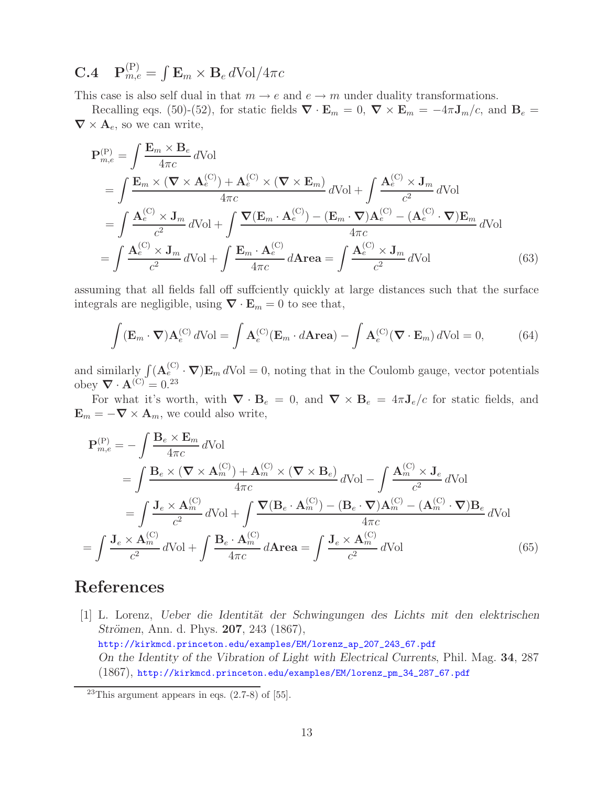## **C.4**  $\mathbf{P}_{m,e}^{(P)} = \int \mathbf{E}_m \times \mathbf{B}_e d\text{Vol}/4\pi c$

This case is also self dual in that  $m \to e$  and  $e \to m$  under duality transformations.

Recalling eqs. (50)-(52), for static fields  $\nabla \cdot \mathbf{E}_m = 0$ ,  $\nabla \times \mathbf{E}_m = -4\pi \mathbf{J}_m/c$ , and  $\mathbf{B}_e =$  $\nabla \times \mathbf{A}_e$ , so we can write,

$$
\mathbf{P}_{m,e}^{(P)} = \int \frac{\mathbf{E}_m \times \mathbf{B}_e}{4\pi c} d\text{Vol}
$$
  
\n
$$
= \int \frac{\mathbf{E}_m \times (\mathbf{\nabla} \times \mathbf{A}_e^{(C)}) + \mathbf{A}_e^{(C)} \times (\mathbf{\nabla} \times \mathbf{E}_m)}{4\pi c} d\text{Vol} + \int \frac{\mathbf{A}_e^{(C)} \times \mathbf{J}_m}{c^2} d\text{Vol}
$$
  
\n
$$
= \int \frac{\mathbf{A}_e^{(C)} \times \mathbf{J}_m}{c^2} d\text{Vol} + \int \frac{\mathbf{\nabla}(\mathbf{E}_m \cdot \mathbf{A}_e^{(C)}) - (\mathbf{E}_m \cdot \mathbf{\nabla}) \mathbf{A}_e^{(C)} - (\mathbf{A}_e^{(C)} \cdot \mathbf{\nabla}) \mathbf{E}_m}{4\pi c} d\text{Vol}
$$
  
\n
$$
= \int \frac{\mathbf{A}_e^{(C)} \times \mathbf{J}_m}{c^2} d\text{Vol} + \int \frac{\mathbf{E}_m \cdot \mathbf{A}_e^{(C)}}{4\pi c} d\text{Area} = \int \frac{\mathbf{A}_e^{(C)} \times \mathbf{J}_m}{c^2} d\text{Vol}
$$
(63)

assuming that all fields fall off suffciently quickly at large distances such that the surface integrals are negligible, using  $\nabla \cdot \mathbf{E}_m = 0$  to see that,

$$
\int (\mathbf{E}_m \cdot \nabla) \mathbf{A}_e^{(C)} d\text{Vol} = \int \mathbf{A}_e^{(C)} (\mathbf{E}_m \cdot d\mathbf{Area}) - \int \mathbf{A}_e^{(C)} (\nabla \cdot \mathbf{E}_m) d\text{Vol} = 0,
$$
 (64)

and similarly  $\int (\mathbf{A}_{e}^{(C)} \cdot \nabla) \mathbf{E}_m dVol = 0$ , noting that in the Coulomb gauge, vector potentials obey  $\nabla \cdot \mathbf{A}^{(C)} = 0^{23}$ 

For what it's worth, with  $\nabla \cdot \mathbf{B}_e = 0$ , and  $\nabla \times \mathbf{B}_e = 4\pi \mathbf{J}_e/c$  for static fields, and  $\mathbf{E}_m = -\nabla \times \mathbf{A}_m$ , we could also write,

$$
\mathbf{P}_{m,e}^{(P)} = -\int \frac{\mathbf{B}_e \times \mathbf{E}_m}{4\pi c} d\text{Vol}
$$
\n
$$
= \int \frac{\mathbf{B}_e \times (\nabla \times \mathbf{A}_m^{(C)}) + \mathbf{A}_m^{(C)} \times (\nabla \times \mathbf{B}_e)}{4\pi c} d\text{Vol} - \int \frac{\mathbf{A}_m^{(C)} \times \mathbf{J}_e}{c^2} d\text{Vol}
$$
\n
$$
= \int \frac{\mathbf{J}_e \times \mathbf{A}_m^{(C)}}{c^2} d\text{Vol} + \int \frac{\nabla (\mathbf{B}_e \cdot \mathbf{A}_m^{(C)}) - (\mathbf{B}_e \cdot \nabla) \mathbf{A}_m^{(C)} - (\mathbf{A}_m^{(C)} \cdot \nabla) \mathbf{B}_e}{4\pi c} d\text{Vol}
$$
\n
$$
= \int \frac{\mathbf{J}_e \times \mathbf{A}_m^{(C)}}{c^2} d\text{Vol} + \int \frac{\mathbf{B}_e \cdot \mathbf{A}_m^{(C)}}{4\pi c} d\text{Area} = \int \frac{\mathbf{J}_e \times \mathbf{A}_m^{(C)}}{c^2} d\text{Vol}
$$
\n(65)

## **References**

[1] L. Lorenz, *Ueber die Identität der Schwingungen des Lichts mit den elektrischen Strömen, Ann. d. Phys. 207, 243 (1867),* http://kirkmcd.princeton.edu/examples/EM/lorenz\_ap\_207\_243\_67.pdf *On the Identity of the Vibration of Light with Electrical Currents*, Phil. Mag. **34**, 287 (1867), http://kirkmcd.princeton.edu/examples/EM/lorenz\_pm\_34\_287\_67.pdf

<sup>&</sup>lt;sup>23</sup>This argument appears in eqs.  $(2.7-8)$  of [55].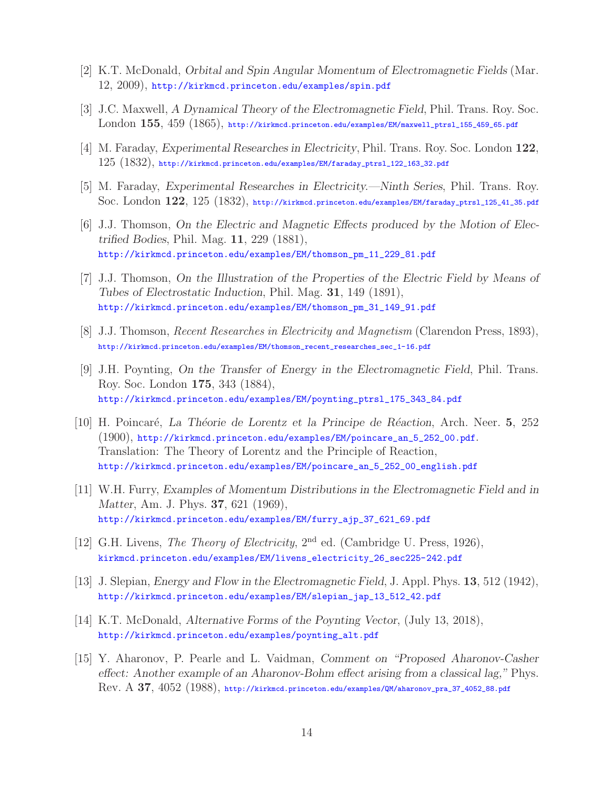- [2] K.T. McDonald, *Orbital and Spin Angular Momentum of Electromagnetic Fields* (Mar. 12, 2009), http://kirkmcd.princeton.edu/examples/spin.pdf
- [3] J.C. Maxwell, *A Dynamical Theory of the Electromagnetic Field*, Phil. Trans. Roy. Soc. London **155**, 459 (1865), http://kirkmcd.princeton.edu/examples/EM/maxwell\_ptrsl\_155\_459\_65.pdf
- [4] M. Faraday, *Experimental Researches in Electricity*, Phil. Trans. Roy. Soc. London **122**,  $125\ (1832),$  http://kirkmcd.princeton.edu/examples/EM/faraday\_ptrsl\_122\_163\_32.pdf
- [5] M. Faraday, *Experimental Researches in Electricity.—Ninth Series*, Phil. Trans. Roy. Soc. London **122**, 125 (1832), http://kirkmcd.princeton.edu/examples/EM/faraday\_ptrsl\_125\_41\_35.pdf
- [6] J.J. Thomson, *On the Electric and Magnetic Effects produced by the Motion of Electrified Bodies*, Phil. Mag. **11**, 229 (1881), http://kirkmcd.princeton.edu/examples/EM/thomson\_pm\_11\_229\_81.pdf
- [7] J.J. Thomson, *On the Illustration of the Properties of the Electric Field by Means of Tubes of Electrostatic Induction*, Phil. Mag. **31**, 149 (1891), http://kirkmcd.princeton.edu/examples/EM/thomson\_pm\_31\_149\_91.pdf
- [8] J.J. Thomson, *Recent Researches in Electricity and Magnetism* (Clarendon Press, 1893), http://kirkmcd.princeton.edu/examples/EM/thomson\_recent\_researches\_sec\_1-16.pdf
- [9] J.H. Poynting, *On the Transfer of Energy in the Electromagnetic Field*, Phil. Trans. Roy. Soc. London **175**, 343 (1884), http://kirkmcd.princeton.edu/examples/EM/poynting\_ptrsl\_175\_343\_84.pdf
- [10] H. Poincar´e, *La Th´eorie de Lorentz et la Principe de R´eaction*, Arch. Neer. **5**, 252 (1900), http://kirkmcd.princeton.edu/examples/EM/poincare\_an\_5\_252\_00.pdf. Translation: The Theory of Lorentz and the Principle of Reaction, http://kirkmcd.princeton.edu/examples/EM/poincare\_an\_5\_252\_00\_english.pdf
- [11] W.H. Furry, *Examples of Momentum Distributions in the Electromagnetic Field and in Matter*, Am. J. Phys. **37**, 621 (1969), http://kirkmcd.princeton.edu/examples/EM/furry\_ajp\_37\_621\_69.pdf
- [12] G.H. Livens, *The Theory of Electricity*, 2nd ed. (Cambridge U. Press, 1926), kirkmcd.princeton.edu/examples/EM/livens\_electricity\_26\_sec225-242.pdf
- [13] J. Slepian, *Energy and Flow in the Electromagnetic Field*, J. Appl. Phys. **13**, 512 (1942), http://kirkmcd.princeton.edu/examples/EM/slepian\_jap\_13\_512\_42.pdf
- [14] K.T. McDonald, *Alternative Forms of the Poynting Vector*, (July 13, 2018), http://kirkmcd.princeton.edu/examples/poynting\_alt.pdf
- [15] Y. Aharonov, P. Pearle and L. Vaidman, *Comment on "Proposed Aharonov-Casher effect: Another example of an Aharonov-Bohm effect arising from a classical lag,"* Phys. Rev. A **37**, 4052 (1988), http://kirkmcd.princeton.edu/examples/QM/aharonov\_pra\_37\_4052\_88.pdf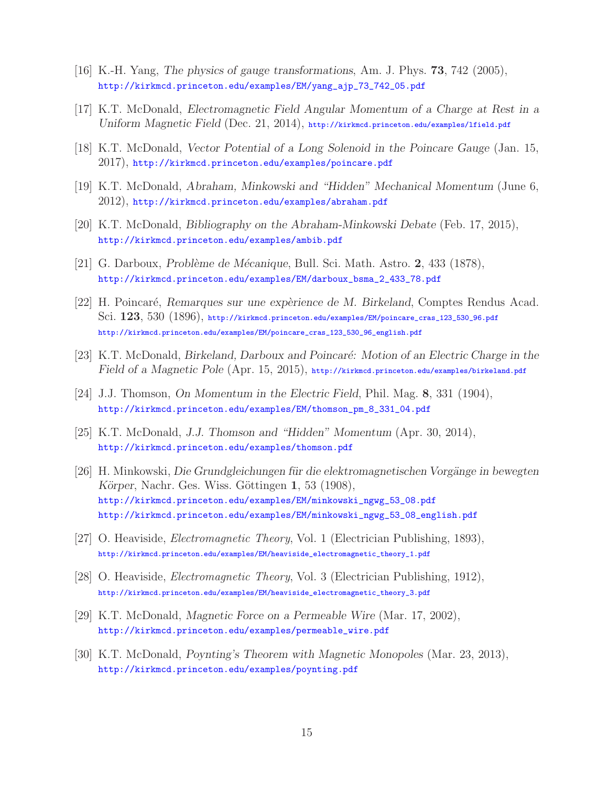- [16] K.-H. Yang, *The physics of gauge transformations*, Am. J. Phys. **73**, 742 (2005), http://kirkmcd.princeton.edu/examples/EM/yang\_ajp\_73\_742\_05.pdf
- [17] K.T. McDonald, *Electromagnetic Field Angular Momentum of a Charge at Rest in a Uniform Magnetic Field* (Dec. 21, 2014), http://kirkmcd.princeton.edu/examples/lfield.pdf
- [18] K.T. McDonald, *Vector Potential of a Long Solenoid in the Poincare Gauge* (Jan. 15, 2017), http://kirkmcd.princeton.edu/examples/poincare.pdf
- [19] K.T. McDonald, *Abraham, Minkowski and "Hidden" Mechanical Momentum* (June 6, 2012), http://kirkmcd.princeton.edu/examples/abraham.pdf
- [20] K.T. McDonald, *Bibliography on the Abraham-Minkowski Debate* (Feb. 17, 2015), http://kirkmcd.princeton.edu/examples/ambib.pdf
- [21] G. Darboux, *Probl`eme de M´ecanique*, Bull. Sci. Math. Astro. **2**, 433 (1878), http://kirkmcd.princeton.edu/examples/EM/darboux\_bsma\_2\_433\_78.pdf
- [22] H. Poincar´e, *Remarques sur une exp`erience de M. Birkeland*, Comptes Rendus Acad. Sci. **123**, 530 (1896), http://kirkmcd.princeton.edu/examples/EM/poincare\_cras\_123\_530\_96.pdf http://kirkmcd.princeton.edu/examples/EM/poincare\_cras\_123\_530\_96\_english.pdf
- [23] K.T. McDonald, *Birkeland, Darboux and Poincaré: Motion of an Electric Charge in the Field of a Magnetic Pole* (Apr. 15, 2015), http://kirkmcd.princeton.edu/examples/birkeland.pdf
- [24] J.J. Thomson, *On Momentum in the Electric Field*, Phil. Mag. **8**, 331 (1904), http://kirkmcd.princeton.edu/examples/EM/thomson\_pm\_8\_331\_04.pdf
- [25] K.T. McDonald, *J.J. Thomson and "Hidden" Momentum* (Apr. 30, 2014), http://kirkmcd.princeton.edu/examples/thomson.pdf
- [26] H. Minkowski, *Die Grundgleichungen für die elektromagnetischen Vorgänge in bewegten Körper*, Nachr. Ges. Wiss. Göttingen **1**, 53 (1908), http://kirkmcd.princeton.edu/examples/EM/minkowski\_ngwg\_53\_08.pdf http://kirkmcd.princeton.edu/examples/EM/minkowski\_ngwg\_53\_08\_english.pdf
- [27] O. Heaviside, *Electromagnetic Theory*, Vol. 1 (Electrician Publishing, 1893), http://kirkmcd.princeton.edu/examples/EM/heaviside\_electromagnetic\_theory\_1.pdf
- [28] O. Heaviside, *Electromagnetic Theory*, Vol. 3 (Electrician Publishing, 1912), http://kirkmcd.princeton.edu/examples/EM/heaviside\_electromagnetic\_theory\_3.pdf
- [29] K.T. McDonald, *Magnetic Force on a Permeable Wire* (Mar. 17, 2002), http://kirkmcd.princeton.edu/examples/permeable\_wire.pdf
- [30] K.T. McDonald, *Poynting's Theorem with Magnetic Monopoles* (Mar. 23, 2013), http://kirkmcd.princeton.edu/examples/poynting.pdf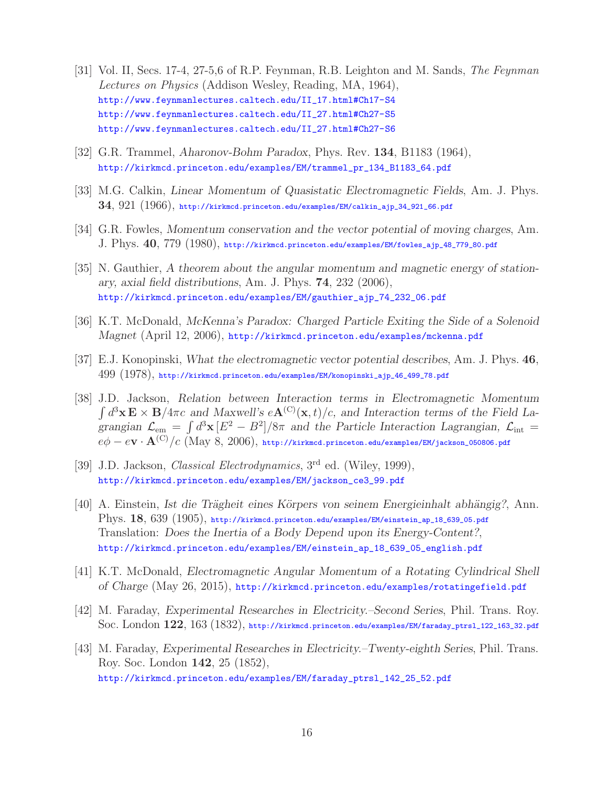- [31] Vol. II, Secs. 17-4, 27-5,6 of R.P. Feynman, R.B. Leighton and M. Sands, *The Feynman Lectures on Physics* (Addison Wesley, Reading, MA, 1964), http://www.feynmanlectures.caltech.edu/II\_17.html#Ch17-S4 http://www.feynmanlectures.caltech.edu/II\_27.html#Ch27-S5 http://www.feynmanlectures.caltech.edu/II\_27.html#Ch27-S6
- [32] G.R. Trammel, *Aharonov-Bohm Paradox*, Phys. Rev. **134**, B1183 (1964), http://kirkmcd.princeton.edu/examples/EM/trammel\_pr\_134\_B1183\_64.pdf
- [33] M.G. Calkin, *Linear Momentum of Quasistatic Electromagnetic Fields*, Am. J. Phys. **34**, 921 (1966), http://kirkmcd.princeton.edu/examples/EM/calkin\_ajp\_34\_921\_66.pdf
- [34] G.R. Fowles, *Momentum conservation and the vector potential of moving charges*, Am. J. Phys. **40**, 779 (1980), http://kirkmcd.princeton.edu/examples/EM/fowles\_ajp\_48\_779\_80.pdf
- [35] N. Gauthier, *A theorem about the angular momentum and magnetic energy of stationary, axial field distributions*, Am. J. Phys. **74**, 232 (2006), http://kirkmcd.princeton.edu/examples/EM/gauthier\_ajp\_74\_232\_06.pdf
- [36] K.T. McDonald, *McKenna's Paradox: Charged Particle Exiting the Side of a Solenoid Magnet* (April 12, 2006), http://kirkmcd.princeton.edu/examples/mckenna.pdf
- [37] E.J. Konopinski, *What the electromagnetic vector potential describes*, Am. J. Phys. **46**, 499 (1978), http://kirkmcd.princeton.edu/examples/EM/konopinski\_ajp\_46\_499\_78.pdf
- [38] J.D. Jackson, *Relation between Interaction terms in Electromagnetic Momentum*  $\int d^3 \mathbf{x} \mathbf{E} \times \mathbf{B} / 4\pi c$  and Maxwell's  $e\mathbf{A}^{(C)}(\mathbf{x}, t) / c$ , and Interaction terms of the Field La*grangian*  $\mathcal{L}_{em} = \int d^3x \left[ E^2 - B^2 \right] / 8\pi$  *and the Particle Interaction Lagrangian,*  $\mathcal{L}_{int}$  $e\phi - e{\bf v}\cdot{\bf A}^{\rm (C)}/c$  (May 8, 2006), http://kirkmcd.princeton.edu/examples/EM/jackson\_050806.pdf
- [39] J.D. Jackson, *Classical Electrodynamics*, 3rd ed. (Wiley, 1999), http://kirkmcd.princeton.edu/examples/EM/jackson\_ce3\_99.pdf
- [40] A. Einstein, *Ist die Trägheit eines Körpers von seinem Energieinhalt abhängig?*, Ann. Phys. **18**, 639 (1905), http://kirkmcd.princeton.edu/examples/EM/einstein\_ap\_18\_639\_05.pdf Translation: *Does the Inertia of a Body Depend upon its Energy-Content?*, http://kirkmcd.princeton.edu/examples/EM/einstein\_ap\_18\_639\_05\_english.pdf
- [41] K.T. McDonald, *Electromagnetic Angular Momentum of a Rotating Cylindrical Shell of Charge* (May 26, 2015), http://kirkmcd.princeton.edu/examples/rotatingefield.pdf
- [42] M. Faraday, *Experimental Researches in Electricity.–Second Series*, Phil. Trans. Roy. Soc. London **122**, 163 (1832), http://kirkmcd.princeton.edu/examples/EM/faraday\_ptrsl\_122\_163\_32.pdf
- [43] M. Faraday, *Experimental Researches in Electricity.–Twenty-eighth Series*, Phil. Trans. Roy. Soc. London **142**, 25 (1852), http://kirkmcd.princeton.edu/examples/EM/faraday\_ptrsl\_142\_25\_52.pdf